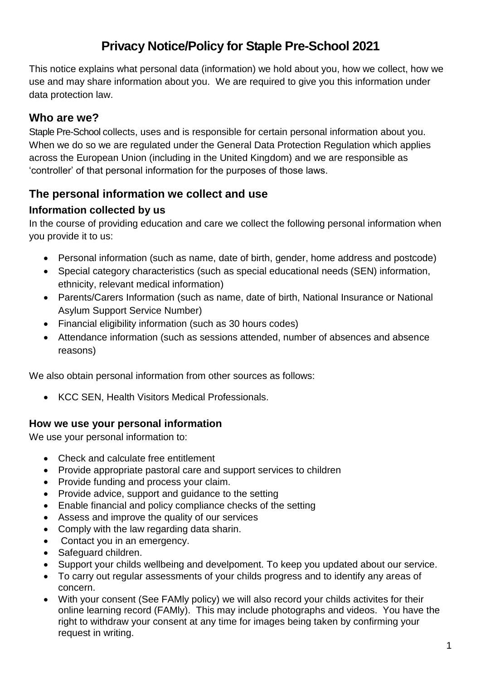# **Privacy Notice/Policy for Staple Pre-School 2021**

This notice explains what personal data (information) we hold about you, how we collect, how we use and may share information about you. We are required to give you this information under data protection law.

# **Who are we?**

Staple Pre-School collects, uses and is responsible for certain personal information about you. When we do so we are regulated under the General Data Protection Regulation which applies across the European Union (including in the United Kingdom) and we are responsible as 'controller' of that personal information for the purposes of those laws.

# **The personal information we collect and use**

### **Information collected by us**

In the course of providing education and care we collect the following personal information when you provide it to us:

- Personal information (such as name, date of birth, gender, home address and postcode)
- Special category characteristics (such as special educational needs (SEN) information, ethnicity, relevant medical information)
- Parents/Carers Information (such as name, date of birth, National Insurance or National Asylum Support Service Number)
- Financial eligibility information (such as 30 hours codes)
- Attendance information (such as sessions attended, number of absences and absence reasons)

We also obtain personal information from other sources as follows:

• KCC SEN, Health Visitors Medical Professionals.

#### **How we use your personal information**

We use your personal information to:

- Check and calculate free entitlement
- Provide appropriate pastoral care and support services to children
- Provide funding and process your claim.
- Provide advice, support and guidance to the setting
- Enable financial and policy compliance checks of the setting
- Assess and improve the quality of our services
- Comply with the law regarding data sharin.
- Contact you in an emergency.
- Safeguard children.
- Support your childs wellbeing and develpoment. To keep you updated about our service.
- To carry out regular assessments of your childs progress and to identify any areas of concern.
- With your consent (See FAMly policy) we will also record your childs activites for their online learning record (FAMly). This may include photographs and videos. You have the right to withdraw your consent at any time for images being taken by confirming your request in writing.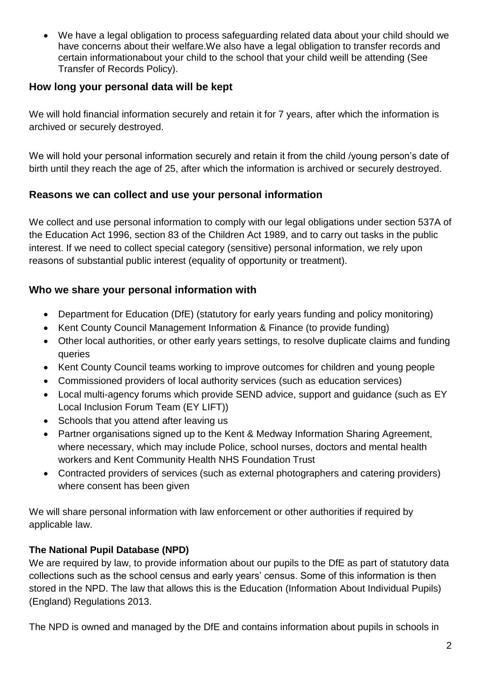We have a legal obligation to process safeguarding related data about your child should we have concerns about their welfare.We also have a legal obligation to transfer records and certain informationabout your child to the school that your child weill be attending (See Transfer of Records Policy).

### **How long your personal data will be kept**

We will hold financial information securely and retain it for 7 years, after which the information is archived or securely destroyed.

We will hold your personal information securely and retain it from the child /young person's date of birth until they reach the age of 25, after which the information is archived or securely destroyed.

## **Reasons we can collect and use your personal information**

We collect and use personal information to comply with our legal obligations under section 537A of the Education Act 1996, section 83 of the Children Act 1989, and to carry out tasks in the public interest. If we need to collect special category (sensitive) personal information, we rely upon reasons of substantial public interest (equality of opportunity or treatment).

## **Who we share your personal information with**

- Department for Education (DfE) (statutory for early years funding and policy monitoring)
- Kent County Council Management Information & Finance (to provide funding)
- Other local authorities, or other early years settings, to resolve duplicate claims and funding queries
- Kent County Council teams working to improve outcomes for children and young people
- Commissioned providers of local authority services (such as education services)
- Local multi-agency forums which provide SEND advice, support and guidance (such as EY Local Inclusion Forum Team (EY LIFT))
- Schools that you attend after leaving us
- Partner organisations signed up to the Kent & Medway Information Sharing Agreement, where necessary, which may include Police, school nurses, doctors and mental health workers and Kent Community Health NHS Foundation Trust
- Contracted providers of services (such as external photographers and catering providers) where consent has been given

We will share personal information with law enforcement or other authorities if required by applicable law.

## **The National Pupil Database (NPD)**

We are required by law, to provide information about our pupils to the DfE as part of statutory data collections such as the school census and early years' census. Some of this information is then stored in the NPD. The law that allows this is the Education (Information About Individual Pupils) (England) Regulations 2013.

The NPD is owned and managed by the DfE and contains information about pupils in schools in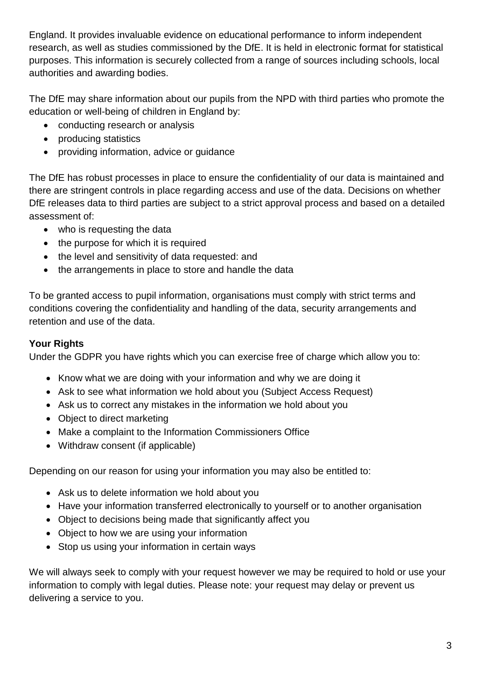England. It provides invaluable evidence on educational performance to inform independent research, as well as studies commissioned by the DfE. It is held in electronic format for statistical purposes. This information is securely collected from a range of sources including schools, local authorities and awarding bodies.

The DfE may share information about our pupils from the NPD with third parties who promote the education or well-being of children in England by:

- conducting research or analysis
- producing statistics
- providing information, advice or guidance

The DfE has robust processes in place to ensure the confidentiality of our data is maintained and there are stringent controls in place regarding access and use of the data. Decisions on whether DfE releases data to third parties are subject to a strict approval process and based on a detailed assessment of:

- who is requesting the data
- the purpose for which it is required
- the level and sensitivity of data requested: and
- the arrangements in place to store and handle the data

To be granted access to pupil information, organisations must comply with strict terms and conditions covering the confidentiality and handling of the data, security arrangements and retention and use of the data.

#### **Your Rights**

Under the GDPR you have rights which you can exercise free of charge which allow you to:

- Know what we are doing with your information and why we are doing it
- Ask to see what information we hold about you (Subject Access Request)
- Ask us to correct any mistakes in the information we hold about you
- Object to direct marketing
- Make a complaint to the Information Commissioners Office
- Withdraw consent (if applicable)

Depending on our reason for using your information you may also be entitled to:

- Ask us to delete information we hold about you
- Have your information transferred electronically to yourself or to another organisation
- Object to decisions being made that significantly affect you
- Object to how we are using your information
- Stop us using your information in certain ways

We will always seek to comply with your request however we may be required to hold or use your information to comply with legal duties. Please note: your request may delay or prevent us delivering a service to you.